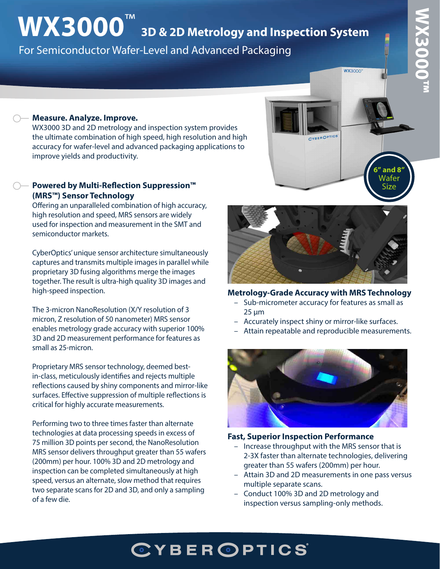# **WX3000™**  WX3000T"

**6" and 8"** Wafer Size

**WX3000"** 

## **WX3000**™ **3D & 2D Metrology and Inspection System** For Semiconductor Wafer-Level and Advanced Packaging

#### **Measure. Analyze. Improve.**

WX3000 3D and 2D metrology and inspection system provides the ultimate combination of high speed, high resolution and high accuracy for wafer-level and advanced packaging applications to improve yields and productivity.

#### **Powered by Multi-Reflection Suppression™ (MRS™) Sensor Technology**

Offering an unparalleled combination of high accuracy, high resolution and speed, MRS sensors are widely used for inspection and measurement in the SMT and semiconductor markets.

CyberOptics' unique sensor architecture simultaneously captures and transmits multiple images in parallel while proprietary 3D fusing algorithms merge the images together. The result is ultra-high quality 3D images and high-speed inspection.

The 3-micron NanoResolution (X/Y resolution of 3 micron, Z resolution of 50 nanometer) MRS sensor enables metrology grade accuracy with superior 100% 3D and 2D measurement performance for features as small as 25-micron.

Proprietary MRS sensor technology, deemed bestin-class, meticulously identifies and rejects multiple reflections caused by shiny components and mirror-like surfaces. Effective suppression of multiple reflections is critical for highly accurate measurements.

Performing two to three times faster than alternate technologies at data processing speeds in excess of 75 million 3D points per second, the NanoResolution MRS sensor delivers throughput greater than 55 wafers (200mm) per hour. 100% 3D and 2D metrology and inspection can be completed simultaneously at high speed, versus an alternate, slow method that requires two separate scans for 2D and 3D, and only a sampling of a few die.



#### **Metrology-Grade Accuracy with MRS Technology**

- Sub-micrometer accuracy for features as small as 25 µm
- Accurately inspect shiny or mirror-like surfaces.
- Attain repeatable and reproducible measurements.



#### **Fast, Superior Inspection Performance**

- Increase throughput with the MRS sensor that is 2-3X faster than alternate technologies, delivering greater than 55 wafers (200mm) per hour.
- Attain 3D and 2D measurements in one pass versus multiple separate scans.
- Conduct 100% 3D and 2D metrology and inspection versus sampling-only methods.

## **CYBEROPTICS**